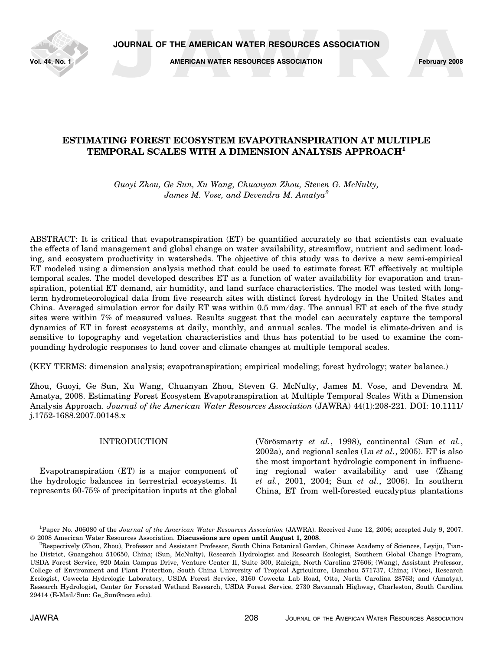



Vol. 44, No. 1 **AMERICAN WATER RESOURCES ASSOCIATION** February 2008



# ESTIMATING FOREST ECOSYSTEM EVAPOTRANSPIRATION AT MULTIPLE TEMPORAL SCALES WITH A DIMENSION ANALYSIS APPROACH<sup>1</sup>

Guoyi Zhou, Ge Sun, Xu Wang, Chuanyan Zhou, Steven G. McNulty, James M. Vose, and Devendra M. Amatya<sup>2</sup>

ABSTRACT: It is critical that evapotranspiration (ET) be quantified accurately so that scientists can evaluate the effects of land management and global change on water availability, streamflow, nutrient and sediment loading, and ecosystem productivity in watersheds. The objective of this study was to derive a new semi-empirical ET modeled using a dimension analysis method that could be used to estimate forest ET effectively at multiple temporal scales. The model developed describes ET as a function of water availability for evaporation and transpiration, potential ET demand, air humidity, and land surface characteristics. The model was tested with longterm hydrometeorological data from five research sites with distinct forest hydrology in the United States and China. Averaged simulation error for daily ET was within 0.5 mm⁄ day. The annual ET at each of the five study sites were within 7% of measured values. Results suggest that the model can accurately capture the temporal dynamics of ET in forest ecosystems at daily, monthly, and annual scales. The model is climate-driven and is sensitive to topography and vegetation characteristics and thus has potential to be used to examine the compounding hydrologic responses to land cover and climate changes at multiple temporal scales.

(KEY TERMS: dimension analysis; evapotranspiration; empirical modeling; forest hydrology; water balance.)

Zhou, Guoyi, Ge Sun, Xu Wang, Chuanyan Zhou, Steven G. McNulty, James M. Vose, and Devendra M. Amatya, 2008. Estimating Forest Ecosystem Evapotranspiration at Multiple Temporal Scales With a Dimension Analysis Approach. Journal of the American Water Resources Association (JAWRA) 44(1):208-221. DOI: 10.1111/ j.1752-1688.2007.00148.x

### INTRODUCTION

Evapotranspiration (ET) is a major component of the hydrologic balances in terrestrial ecosystems. It represents 60-75% of precipitation inputs at the global

(Vörösmarty et al., 1998), continental (Sun et al., 2002a), and regional scales (Lu  $et$   $al.$ , 2005). ET is also the most important hydrologic component in influencing regional water availability and use (Zhang et al., 2001, 2004; Sun et al., 2006). In southern China, ET from well-forested eucalyptus plantations

<sup>&</sup>lt;sup>1</sup>Paper No. J06080 of the Journal of the American Water Resources Association (JAWRA). Received June 12, 2006; accepted July 9, 2007. © 2008 American Water Resources Association. Discussions are open until August 1, 2008.

 $R$ espectively (Zhou, Zhou), Professor and Assistant Professor, South China Botanical Garden, Chinese Academy of Sciences, Leyiju, Tianhe District, Guangzhou 510650, China; (Sun, McNulty), Research Hydrologist and Research Ecologist, Southern Global Change Program, USDA Forest Service, 920 Main Campus Drive, Venture Center II, Suite 300, Raleigh, North Carolina 27606; (Wang), Assistant Professor, College of Environment and Plant Protection, South China University of Tropical Agriculture, Danzhou 571737, China; (Vose), Research Ecologist, Coweeta Hydrologic Laboratory, USDA Forest Service, 3160 Coweeta Lab Road, Otto, North Carolina 28763; and (Amatya), Research Hydrologist, Center for Forested Wetland Research, USDA Forest Service, 2730 Savannah Highway, Charleston, South Carolina 29414 (E-Mail/Sun: Ge\_Sun@ncsu.edu).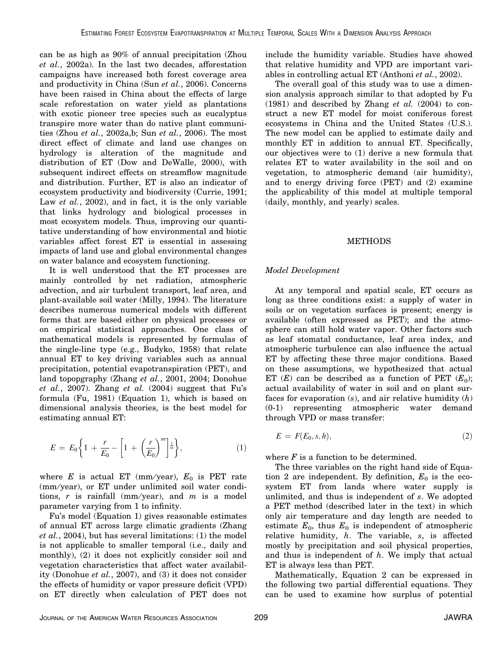can be as high as 90% of annual precipitation (Zhou et al., 2002a). In the last two decades, afforestation campaigns have increased both forest coverage area and productivity in China (Sun et al., 2006). Concerns have been raised in China about the effects of large scale reforestation on water yield as plantations with exotic pioneer tree species such as eucalyptus transpire more water than do native plant communities (Zhou et al., 2002a,b; Sun et al., 2006). The most direct effect of climate and land use changes on hydrology is alteration of the magnitude and distribution of ET (Dow and DeWalle, 2000), with subsequent indirect effects on streamflow magnitude and distribution. Further, ET is also an indicator of ecosystem productivity and biodiversity (Currie, 1991; Law et al., 2002), and in fact, it is the only variable that links hydrology and biological processes in most ecosystem models. Thus, improving our quantitative understanding of how environmental and biotic variables affect forest ET is essential in assessing impacts of land use and global environmental changes on water balance and ecosystem functioning.

It is well understood that the ET processes are mainly controlled by net radiation, atmospheric advection, and air turbulent transport, leaf area, and plant-available soil water (Milly, 1994). The literature describes numerous numerical models with different forms that are based either on physical processes or on empirical statistical approaches. One class of mathematical models is represented by formulas of the single-line type (e.g., Budyko, 1958) that relate annual ET to key driving variables such as annual precipitation, potential evapotranspiration (PET), and land topopgraphy (Zhang et al., 2001, 2004; Donohue et al., 2007). Zhang et al.  $(2004)$  suggest that Fu's formula (Fu, 1981) (Equation 1), which is based on dimensional analysis theories, is the best model for estimating annual ET:

$$
E = E_0 \bigg\{ 1 + \frac{r}{E_0} - \bigg[ 1 + \bigg(\frac{r}{E_0}\bigg)^m \bigg]_m^{\frac{1}{m}} \bigg\},\tag{1}
$$

where  $E$  is actual ET (mm/year),  $E_0$  is PET rate (mm⁄ year), or ET under unlimited soil water conditions,  $r$  is rainfall (mm/year), and  $m$  is a model parameter varying from 1 to infinity.

Fu's model (Equation 1) gives reasonable estimates of annual ET across large climatic gradients (Zhang et al., 2004), but has several limitations: (1) the model is not applicable to smaller temporal (i.e., daily and monthly), (2) it does not explicitly consider soil and vegetation characteristics that affect water availability (Donohue et al., 2007), and (3) it does not consider the effects of humidity or vapor pressure deficit (VPD) on ET directly when calculation of PET does not include the humidity variable. Studies have showed that relative humidity and VPD are important variables in controlling actual ET (Anthoni et al., 2002).

The overall goal of this study was to use a dimension analysis approach similar to that adopted by Fu  $(1981)$  and described by Zhang *et al.*  $(2004)$  to construct a new ET model for moist coniferous forest ecosystems in China and the United States (U.S.). The new model can be applied to estimate daily and monthly ET in addition to annual ET. Specifically, our objectives were to (1) derive a new formula that relates ET to water availability in the soil and on vegetation, to atmospheric demand (air humidity), and to energy driving force (PET) and (2) examine the applicability of this model at multiple temporal (daily, monthly, and yearly) scales.

## **METHODS**

## Model Development

At any temporal and spatial scale, ET occurs as long as three conditions exist: a supply of water in soils or on vegetation surfaces is present; energy is available (often expressed as PET); and the atmosphere can still hold water vapor. Other factors such as leaf stomatal conductance, leaf area index, and atmospheric turbulence can also influence the actual ET by affecting these three major conditions. Based on these assumptions, we hypothesized that actual ET (E) can be described as a function of PET  $(E_0)$ ; actual availability of water in soil and on plant surfaces for evaporation  $(s)$ , and air relative humidity  $(h)$ (0-1) representing atmospheric water demand through VPD or mass transfer:

$$
E = F(E_0, s, h), \tag{2}
$$

where  $F$  is a function to be determined.

The three variables on the right hand side of Equation 2 are independent. By definition,  $E_0$  is the ecosystem ET from lands where water supply is unlimited, and thus is independent of s. We adopted a PET method (described later in the text) in which only air temperature and day length are needed to estimate  $E_0$ , thus  $E_0$  is independent of atmospheric relative humidity,  $h$ . The variable,  $s$ , is affected mostly by precipitation and soil physical properties, and thus is independent of  $h$ . We imply that actual ET is always less than PET.

Mathematically, Equation 2 can be expressed in the following two partial differential equations. They can be used to examine how surplus of potential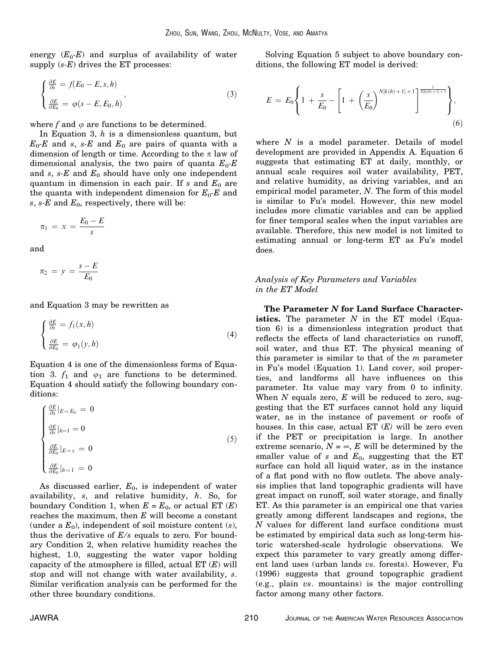energy  $(E_0-E)$  and surplus of availability of water supply  $(s-E)$  drives the ET processes:

$$
\begin{cases} \frac{\partial E}{\partial s} = f(E_0 - E, s, h) \\ \frac{\partial E}{\partial E_0} = \varphi(s - E, E_0, h) \end{cases}
$$
\n(3)

where f and  $\varphi$  are functions to be determined.

In Equation 3,  $h$  is a dimensionless quantum, but  $E_0$ -E and s, s-E and  $E_0$  are pairs of quanta with a dimension of length or time. According to the  $\pi$  law of dimensional analysis, the two pairs of quanta  $E_0$ -E and  $s$ ,  $s$ - $E$  and  $E_0$  should have only one independent quantum in dimension in each pair. If s and  $E_0$  are the quanta with independent dimension for  $E_0$ -E and s, s-E and  $E_0$ , respectively, there will be:

$$
\pi_1 = x = \frac{E_0 - E}{s}
$$

and

$$
\pi_2 = y = \frac{s - E}{E_0}
$$

and Equation 3 may be rewritten as

$$
\begin{cases} \frac{\partial E}{\partial s} = f_1(x, h) \\ \frac{\partial E}{\partial E_0} = \varphi_1(y, h) \end{cases}
$$
(4)

Equation 4 is one of the dimensionless forms of Equation 3.  $f_1$  and  $\varphi_1$  are functions to be determined. Equation 4 should satisfy the following boundary conditions:

$$
\begin{cases}\n\frac{\partial E}{\partial s}|_{E=E_0} = 0\\ \n\frac{\partial E}{\partial s}|_{h=1} = 0\\ \n\frac{\partial E}{\partial E_0}|_{E=s} = 0\\ \n\frac{\partial E}{\partial E_0}|_{h=1} = 0\n\end{cases}
$$
\n(5)

As discussed earlier,  $E_0$ , is independent of water availability,  $s$ , and relative humidity,  $h$ . So, for boundary Condition 1, when  $E = E_0$ , or actual ET  $(E)$ reaches the maximum, then  $E$  will become a constant (under a  $E_0$ ), independent of soil moisture content  $(s)$ , thus the derivative of  $E/s$  equals to zero. For boundary Condition 2, when relative humidity reaches the highest, 1.0, suggesting the water vapor holding capacity of the atmosphere is filled, actual  $ET(E)$  will stop and will not change with water availability, s. Similar verification analysis can be performed for the other three boundary conditions.

Solving Equation 5 subject to above boundary conditions, the following ET model is derived:

$$
E = E_0 \left\{ 1 + \frac{s}{E_0} - \left[ 1 + \left( \frac{s}{E_0} \right)^{N[k(h)+1]+1} \right]^{\frac{1}{N[k(h)+1]+1}} \right\},\tag{6}
$$

where  $N$  is a model parameter. Details of model development are provided in Appendix A. Equation 6 suggests that estimating ET at daily, monthly, or annual scale requires soil water availability, PET, and relative humidity, as driving variables, and an empirical model parameter, N. The form of this model is similar to Fu's model. However, this new model includes more climatic variables and can be applied for finer temporal scales when the input variables are available. Therefore, this new model is not limited to estimating annual or long-term ET as Fu's model does.

## Analysis of Key Parameters and Variables in the ET Model

The Parameter N for Land Surface Characteristics. The parameter  $N$  in the ET model (Equation 6) is a dimensionless integration product that reflects the effects of land characteristics on runoff, soil water, and thus ET. The physical meaning of this parameter is similar to that of the  $m$  parameter in Fu's model (Equation 1). Land cover, soil properties, and landforms all have influences on this parameter. Its value may vary from 0 to infinity. When  $N$  equals zero,  $E$  will be reduced to zero, suggesting that the ET surfaces cannot hold any liquid water, as in the instance of pavement or roofs of houses. In this case, actual ET  $(E)$  will be zero even if the PET or precipitation is large. In another extreme scenario,  $N = \infty$ , E will be determined by the smaller value of s and  $E_0$ , suggesting that the ET surface can hold all liquid water, as in the instance of a flat pond with no flow outlets. The above analysis implies that land topographic gradients will have great impact on runoff, soil water storage, and finally ET. As this parameter is an empirical one that varies greatly among different landscapes and regions, the N values for different land surface conditions must be estimated by empirical data such as long-term historic watershed-scale hydrologic observations. We expect this parameter to vary greatly among different land uses (urban lands vs. forests). However, Fu (1996) suggests that ground topographic gradient (e.g., plain vs. mountains) is the major controlling factor among many other factors.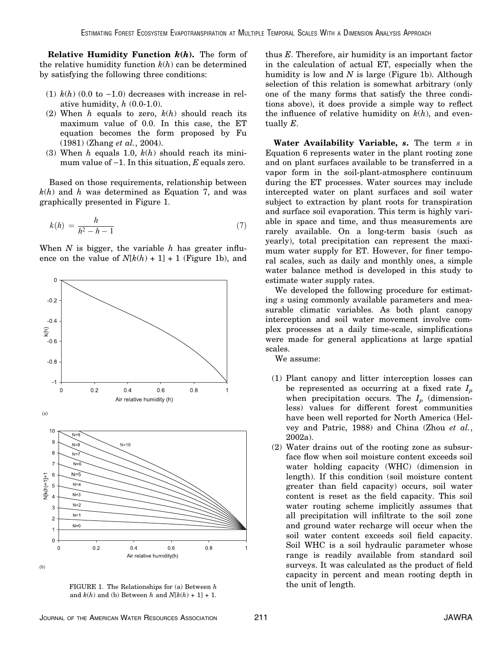Relative Humidity Function  $k(h)$ . The form of the relative humidity function  $k(h)$  can be determined by satisfying the following three conditions:

- (1)  $k(h)$  (0.0 to -1.0) decreases with increase in relative humidity,  $h(0.0-1.0)$ .
- (2) When h equals to zero,  $k(h)$  should reach its maximum value of 0.0. In this case, the ET equation becomes the form proposed by Fu  $(1981)$  (Zhang *et al.*, 2004).
- (3) When h equals 1.0,  $k(h)$  should reach its minimum value of  $-1$ . In this situation, E equals zero.

Based on those requirements, relationship between  $k(h)$  and h was determined as Equation 7, and was graphically presented in Figure 1.

$$
k(h) = \frac{h}{h^2 - h - 1} \tag{7}
$$

When  $N$  is bigger, the variable  $h$  has greater influence on the value of  $N[k(h) + 1] + 1$  (Figure 1b), and



FIGURE 1. The Relationships for (a) Between  $h$  the unit of length. and  $k(h)$  and (b) Between h and  $N[k(h) + 1] + 1$ .

thus  $E$ . Therefore, air humidity is an important factor in the calculation of actual ET, especially when the humidity is low and  $N$  is large (Figure 1b). Although selection of this relation is somewhat arbitrary (only one of the many forms that satisfy the three conditions above), it does provide a simple way to reflect the influence of relative humidity on  $k(h)$ , and eventually E.

Water Availability Variable, s. The term s in Equation 6 represents water in the plant rooting zone and on plant surfaces available to be transferred in a vapor form in the soil-plant-atmosphere continuum during the ET processes. Water sources may include intercepted water on plant surfaces and soil water subject to extraction by plant roots for transpiration and surface soil evaporation. This term is highly variable in space and time, and thus measurements are rarely available. On a long-term basis (such as yearly), total precipitation can represent the maximum water supply for ET. However, for finer temporal scales, such as daily and monthly ones, a simple water balance method is developed in this study to estimate water supply rates.

We developed the following procedure for estimating s using commonly available parameters and measurable climatic variables. As both plant canopy interception and soil water movement involve complex processes at a daily time-scale, simplifications were made for general applications at large spatial scales.

We assume:

- (1) Plant canopy and litter interception losses can be represented as occurring at a fixed rate  $I_p$ when precipitation occurs. The  $I_p$  (dimensionless) values for different forest communities have been well reported for North America (Helvey and Patric, 1988) and China (Zhou et al., 2002a).
- (2) Water drains out of the rooting zone as subsurface flow when soil moisture content exceeds soil water holding capacity (WHC) (dimension in length). If this condition (soil moisture content greater than field capacity) occurs, soil water content is reset as the field capacity. This soil water routing scheme implicitly assumes that all precipitation will infiltrate to the soil zone and ground water recharge will occur when the soil water content exceeds soil field capacity. Soil WHC is a soil hydraulic parameter whose range is readily available from standard soil surveys. It was calculated as the product of field capacity in percent and mean rooting depth in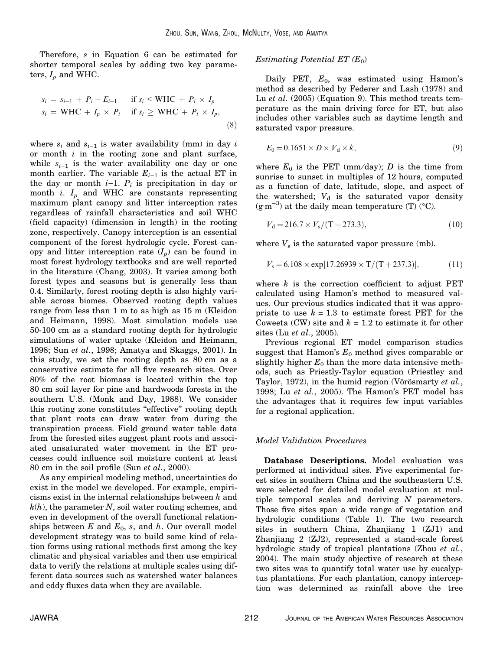Therefore, s in Equation 6 can be estimated for shorter temporal scales by adding two key parameters,  $I_p$  and WHC.

$$
s_i = s_{i-1} + P_i - E_{i-1} \quad \text{if } s_i < \text{WHC} + P_i \times I_p
$$
  
\n
$$
s_i = \text{WHC} + I_p \times P_i \quad \text{if } s_i \ge \text{WHC} + P_i \times I_p,
$$
\n(8)

where  $s_i$  and  $s_{i-1}$  is water availability (mm) in day i or month  $i$  in the rooting zone and plant surface, while  $s_{i-1}$  is the water availability one day or one month earlier. The variable  $E_{i-1}$  is the actual ET in the day or month  $i-1$ .  $P_i$  is precipitation in day or month *i*.  $I_p$  and WHC are constants representing maximum plant canopy and litter interception rates regardless of rainfall characteristics and soil WHC (field capacity) (dimension in length) in the rooting zone, respectively. Canopy interception is an essential component of the forest hydrologic cycle. Forest canopy and litter interception rate  $(I_p)$  can be found in most forest hydrology textbooks and are well reported in the literature (Chang, 2003). It varies among both forest types and seasons but is generally less than 0.4. Similarly, forest rooting depth is also highly variable across biomes. Observed rooting depth values range from less than 1 m to as high as 15 m (Kleidon and Heimann, 1998). Most simulation models use 50-100 cm as a standard rooting depth for hydrologic simulations of water uptake (Kleidon and Heimann, 1998; Sun et al., 1998; Amatya and Skaggs, 2001). In this study, we set the rooting depth as 80 cm as a conservative estimate for all five research sites. Over 80% of the root biomass is located within the top 80 cm soil layer for pine and hardwoods forests in the southern U.S. (Monk and Day, 1988). We consider this rooting zone constitutes ''effective'' rooting depth that plant roots can draw water from during the transpiration process. Field ground water table data from the forested sites suggest plant roots and associated unsaturated water movement in the ET processes could influence soil moisture content at least 80 cm in the soil profile (Sun *et al.*, 2000).

As any empirical modeling method, uncertainties do exist in the model we developed. For example, empiricisms exist in the internal relationships between  $h$  and  $k(h)$ , the parameter N, soil water routing schemes, and even in development of the overall functional relationships between  $E$  and  $E_0$ , s, and  $h$ . Our overall model development strategy was to build some kind of relation forms using rational methods first among the key climatic and physical variables and then use empirical data to verify the relations at multiple scales using different data sources such as watershed water balances and eddy fluxes data when they are available.

#### Estimating Potential ET  $(E_0)$

Daily PET,  $E_0$ , was estimated using Hamon's method as described by Federer and Lash (1978) and Lu et al. (2005) (Equation 9). This method treats temperature as the main driving force for ET, but also includes other variables such as daytime length and saturated vapor pressure.

$$
E_0 = 0.1651 \times D \times V_d \times k,\tag{9}
$$

where  $E_0$  is the PET (mm/day); D is the time from sunrise to sunset in multiples of 12 hours, computed as a function of date, latitude, slope, and aspect of the watershed;  $V<sub>d</sub>$  is the saturated vapor density (g·m<sup>-3</sup>) at the daily mean temperature (T) (°C).

$$
V_{\rm d} = 216.7 \times V_{\rm s} / (T + 273.3),\tag{10}
$$

where  $V_s$  is the saturated vapor pressure (mb).

$$
V_s = 6.108 \times \exp[17.26939 \times T/(T+237.3)], \tag{11}
$$

where  $k$  is the correction coefficient to adjust PET calculated using Hamon's method to measured values. Our previous studies indicated that it was appropriate to use  $k = 1.3$  to estimate forest PET for the Coweeta (CW) site and  $k = 1.2$  to estimate it for other sites (Lu *et al.*, 2005).

Previous regional ET model comparison studies suggest that Hamon's  $E_0$  method gives comparable or slightly higher  $E_0$  than the more data intensive methods, such as Priestly-Taylor equation (Priestley and Taylor, 1972), in the humid region (Vörösmarty et al., 1998; Lu et al., 2005). The Hamon's PET model has the advantages that it requires few input variables for a regional application.

#### Model Validation Procedures

Database Descriptions. Model evaluation was performed at individual sites. Five experimental forest sites in southern China and the southeastern U.S. were selected for detailed model evaluation at multiple temporal scales and deriving N parameters. Those five sites span a wide range of vegetation and hydrologic conditions (Table 1). The two research sites in southern China, Zhanjiang 1 (ZJ1) and Zhanjiang 2 (ZJ2), represented a stand-scale forest hydrologic study of tropical plantations (Zhou et al., 2004). The main study objective of research at these two sites was to quantify total water use by eucalyptus plantations. For each plantation, canopy interception was determined as rainfall above the tree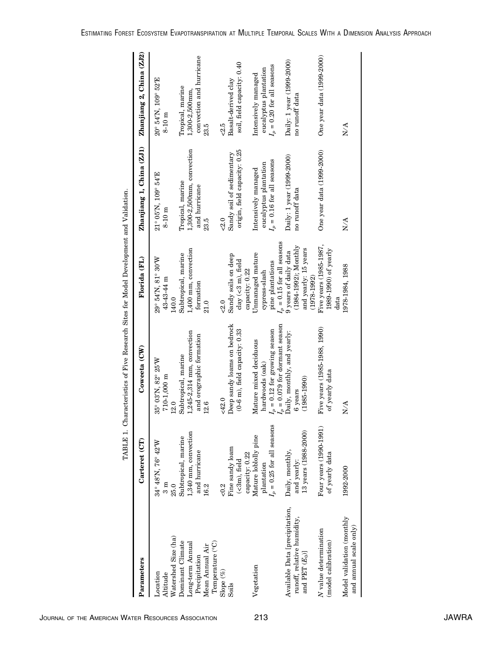| Parameters                                            | Carteret (CT)                               | Coweeta (CW)                                                        | Florida (FL)                                       | Zhanjiang 1, China (ZJ1)                                  | Zhanjiang 2, China (ZJ2)                          |
|-------------------------------------------------------|---------------------------------------------|---------------------------------------------------------------------|----------------------------------------------------|-----------------------------------------------------------|---------------------------------------------------|
| Watershed Size (ha)<br>Location<br>Altitude           | 34° 48'N, 76° 42'W<br>$\frac{3}{3}$<br>25.0 | 35° 03'N, 82° 25'W<br>$710-1,000 \text{ m}$<br>12.0                 | $29^{\circ}$ 54'N, 81° 30'W<br>43-43-44 m<br>140.0 | $21^{\circ}$ 05 N, $109^{\circ}$ 54 E<br>$8-10$ m         | $20^{\circ}$ 54 N, $109^{\circ}$ 52 E<br>$8-10$ m |
| Dominant Climate<br>Long-term Annual<br>Precipitation | ,340 mm, convection<br>Subtropical, marine  | 1,245-2,314 mm, convection<br>Subtropical, marine                   | 1,400 mm, convection<br>Subtropical, marine        | 1,300-2,500mm, convection<br>Tropical, marine             | Propical, marine<br>$1,300-2,500$ mm,             |
| Temperature (°C)<br>Mean Annual Air                   | and hurricane<br>16.2                       | and orographic formation<br>12.6                                    | formation<br>21.0                                  | and hurricane<br>23.5                                     | convection and hurricane<br>23.5                  |
| Slope (%)                                             | 0.2                                         | < 42.0                                                              | $\overline{c}$                                     | $\overline{3}0$                                           | $-2.5$                                            |
| Soils                                                 | Fine sandy loam<br>$(\leq 3m)$ , field      | Deep sandy loams on bedrock<br>$(0-6$ m), field capacity: $0.33$    | Sandy soils on deep<br>$clay$ (<3 m), field        | origin, field capacity: 0.25<br>Sandy soil of sedimentary | soil, field capacity: 0.40<br>Basalt-derived clay |
|                                                       | capacity: 0.22                              |                                                                     | capacity: 0.22                                     |                                                           |                                                   |
| Vegetation                                            | Mature loblolly pine                        | Mature mixed deciduous                                              | Unmanaged mature                                   | Intensively managed                                       | Intensively managed                               |
|                                                       | plantation                                  | hardwoods (oak)                                                     | cypress-slash                                      | eucalyptus plantation                                     | eucalyptus plantation                             |
|                                                       | $I_p = 0.25$ for all seasons                | $I_p = 0.079$ for dormant season<br>$I_p = 0.12$ for growing season | $I_p = 0.15$ for all seasons<br>pine plantations   | $I_p = 0.16$ for all seasons                              | $I_p = 0.20$ for all seasons                      |
| Available Data [precipitation,                        | Daily, monthly,                             | Daily, monthly, and yearly:                                         | 9 years of daily data                              | Daily: $1$ year $(1999-2000)$                             | Daily: 1 year (1999-2000)                         |
| runoff, relative humidity,<br>and PET $(E_0)$         | and yearly:                                 | $(1985 - 1990)$<br>6 years                                          | $(1984 - 1992)$ ; Monthly                          | no runoff data                                            | no runoff data                                    |
|                                                       | 13 years (1988-2000)                        |                                                                     | and yearly: 15 years<br>$(1978 - 1992)$            |                                                           |                                                   |
| N value determination<br>(model calibration)          | Four years (1990-1991)<br>of yearly data    | Five years (1985-1988, 1990)<br>of yearly data                      | Five years (1985-1987,<br>1989-1990) of yearly     | One year data (1999-2000)                                 | One year data (1999-2000)                         |
|                                                       |                                             |                                                                     | data                                               |                                                           |                                                   |
| Model validation (monthly<br>and annual scale only)   | 1992-2000                                   | N/A                                                                 | 1978-1984, 1988                                    | N/A                                                       | N/A                                               |

TABLE 1. Characteristics of Five Research Sites for Model Development and Validation. TABLE 1. Characteristics of Five Research Sites for Model Development and Validation.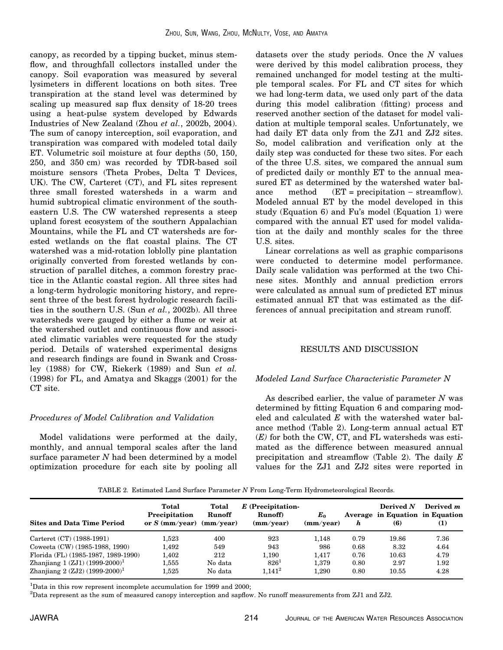canopy, as recorded by a tipping bucket, minus stemflow, and throughfall collectors installed under the canopy. Soil evaporation was measured by several lysimeters in different locations on both sites. Tree transpiration at the stand level was determined by scaling up measured sap flux density of 18-20 trees using a heat-pulse system developed by Edwards Industries of New Zealand (Zhou et al., 2002b, 2004). The sum of canopy interception, soil evaporation, and transpiration was compared with modeled total daily ET. Volumetric soil moisture at four depths (50, 150, 250, and 350 cm) was recorded by TDR-based soil moisture sensors (Theta Probes, Delta T Devices, UK). The CW, Carteret (CT), and FL sites represent three small forested watersheds in a warm and humid subtropical climatic environment of the southeastern U.S. The CW watershed represents a steep upland forest ecosystem of the southern Appalachian Mountains, while the FL and CT watersheds are forested wetlands on the flat coastal plains. The CT watershed was a mid-rotation loblolly pine plantation originally converted from forested wetlands by construction of parallel ditches, a common forestry practice in the Atlantic coastal region. All three sites had a long-term hydrologic monitoring history, and represent three of the best forest hydrologic research facilities in the southern U.S. (Sun *et al.*, 2002b). All three watersheds were gauged by either a flume or weir at the watershed outlet and continuous flow and associated climatic variables were requested for the study period. Details of watershed experimental designs and research findings are found in Swank and Crossley (1988) for CW, Riekerk (1989) and Sun et al. (1998) for FL, and Amatya and Skaggs (2001) for the CT site.

## Procedures of Model Calibration and Validation

Model validations were performed at the daily, monthly, and annual temporal scales after the land surface parameter  $N$  had been determined by a model optimization procedure for each site by pooling all

datasets over the study periods. Once the  $N$  values were derived by this model calibration process, they remained unchanged for model testing at the multiple temporal scales. For FL and CT sites for which we had long-term data, we used only part of the data during this model calibration (fitting) process and reserved another section of the dataset for model validation at multiple temporal scales. Unfortunately, we had daily ET data only from the ZJ1 and ZJ2 sites. So, model calibration and verification only at the daily step was conducted for these two sites. For each of the three U.S. sites, we compared the annual sum of predicted daily or monthly ET to the annual measured ET as determined by the watershed water balance method  $(ET = precipitation - streamflow)$ . Modeled annual ET by the model developed in this study (Equation 6) and Fu's model (Equation 1) were compared with the annual ET used for model validation at the daily and monthly scales for the three U.S. sites.

Linear correlations as well as graphic comparisons were conducted to determine model performance. Daily scale validation was performed at the two Chinese sites. Monthly and annual prediction errors were calculated as annual sum of predicted ET minus estimated annual ET that was estimated as the differences of annual precipitation and stream runoff.

### RESULTS AND DISCUSSION

### Modeled Land Surface Characteristic Parameter N

As described earlier, the value of parameter  $N$  was determined by fitting Equation 6 and comparing modeled and calculated  $E$  with the watershed water balance method (Table 2). Long-term annual actual ET  $(E)$  for both the CW, CT, and FL watersheds was estimated as the difference between measured annual precipitation and streamflow (Table 2). The daily  $E$ values for the ZJ1 and ZJ2 sites were reported in

TABLE 2. Estimated Land Surface Parameter N From Long-Term Hydrometeorological Records.

| <b>Sites and Data Time Period</b>   | Total<br>Precipitation<br>or $S$ (mm/year) | Total<br>Runoff<br>(mm/year) | $E$ (Precipitation-<br>Runoff)<br>(mm/year) | $E_{0}$<br>(mm/year) | h    | Derived $N$<br>Average in Equation in Equation<br>(6) | Derived <i>m</i><br>(1) |
|-------------------------------------|--------------------------------------------|------------------------------|---------------------------------------------|----------------------|------|-------------------------------------------------------|-------------------------|
| Carteret (CT) (1988-1991)           | $1.523\,$                                  | 400                          | 923                                         | 1.148                | 0.79 | 19.86                                                 | 7.36                    |
| Coweeta (CW) (1985-1988, 1990)      | 1.492                                      | 549                          | 943                                         | 986                  | 0.68 | 8.32                                                  | 4.64                    |
| Florida (FL) (1985-1987, 1989-1990) | 1.402                                      | 212                          | 1.190                                       | 1.417                | 0.76 | 10.63                                                 | 4.79                    |
| Zhanjiang $1 (ZJ1) (1999-2000)^1$   | 1.555                                      | No data                      | $826^1$                                     | 1.379                | 0.80 | 2.97                                                  | 1.92                    |
| Zhanjiang 2 (ZJ2) $(1999-2000)^{1}$ | 1.525                                      | No data                      | $1,141^2$                                   | 1,290                | 0.80 | 10.55                                                 | 4.28                    |

<sup>1</sup>Data in this row represent incomplete accumulation for 1999 and 2000;

 $^{2}$ Data represent as the sum of measured canopy interception and sapflow. No runoff measurements from ZJ1 and ZJ2.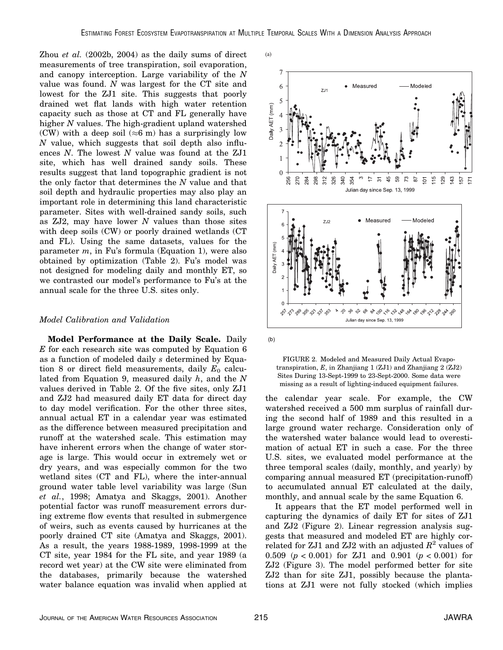Zhou et al. (2002b, 2004) as the daily sums of direct measurements of tree transpiration, soil evaporation, and canopy interception. Large variability of the N value was found. N was largest for the CT site and lowest for the ZJ1 site. This suggests that poorly drained wet flat lands with high water retention capacity such as those at CT and FL generally have higher N values. The high-gradient upland watershed (CW) with a deep soil  $(\approx 6 \text{ m})$  has a surprisingly low N value, which suggests that soil depth also influences  $N$ . The lowest  $N$  value was found at the  $ZJ1$ site, which has well drained sandy soils. These results suggest that land topographic gradient is not the only factor that determines the N value and that soil depth and hydraulic properties may also play an important role in determining this land characteristic parameter. Sites with well-drained sandy soils, such as  $ZJ2$ , may have lower  $N$  values than those sites with deep soils (CW) or poorly drained wetlands (CT and FL). Using the same datasets, values for the parameter  $m$ , in Fu's formula (Equation 1), were also obtained by optimization (Table 2). Fu's model was not designed for modeling daily and monthly ET, so we contrasted our model's performance to Fu's at the annual scale for the three U.S. sites only.

#### Model Calibration and Validation

Model Performance at the Daily Scale. Daily E for each research site was computed by Equation 6 as a function of modeled daily s determined by Equation 8 or direct field measurements, daily  $E_0$  calculated from Equation 9, measured daily  $h$ , and the  $N$ values derived in Table 2. Of the five sites, only ZJ1 and ZJ2 had measured daily ET data for direct day to day model verification. For the other three sites, annual actual ET in a calendar year was estimated as the difference between measured precipitation and runoff at the watershed scale. This estimation may have inherent errors when the change of water storage is large. This would occur in extremely wet or dry years, and was especially common for the two wetland sites (CT and FL), where the inter-annual ground water table level variability was large (Sun et al., 1998; Amatya and Skaggs, 2001). Another potential factor was runoff measurement errors during extreme flow events that resulted in submergence of weirs, such as events caused by hurricanes at the poorly drained CT site (Amatya and Skaggs, 2001). As a result, the years 1988-1989, 1998-1999 at the CT site, year 1984 for the FL site, and year 1989 (a record wet year) at the CW site were eliminated from the databases, primarily because the watershed water balance equation was invalid when applied at



 $(b)$ 

FIGURE 2. Modeled and Measured Daily Actual Evapotranspiration,  $E$ , in Zhanjiang 1 (ZJ1) and Zhanjiang 2 (ZJ2) Sites During 13-Sept-1999 to 23-Sept-2000. Some data were missing as a result of lighting-induced equipment failures.

the calendar year scale. For example, the CW watershed received a 500 mm surplus of rainfall during the second half of 1989 and this resulted in a large ground water recharge. Consideration only of the watershed water balance would lead to overestimation of actual ET in such a case. For the three U.S. sites, we evaluated model performance at the three temporal scales (daily, monthly, and yearly) by comparing annual measured ET (precipitation-runoff) to accumulated annual ET calculated at the daily, monthly, and annual scale by the same Equation 6.

It appears that the ET model performed well in capturing the dynamics of daily ET for sites of ZJ1 and ZJ2 (Figure 2). Linear regression analysis suggests that measured and modeled ET are highly correlated for ZJ1 and ZJ2 with an adjusted  $R^2$  values of 0.509 ( $p < 0.001$ ) for ZJ1 and 0.901 ( $p < 0.001$ ) for ZJ2 (Figure 3). The model performed better for site ZJ2 than for site ZJ1, possibly because the plantations at ZJ1 were not fully stocked (which implies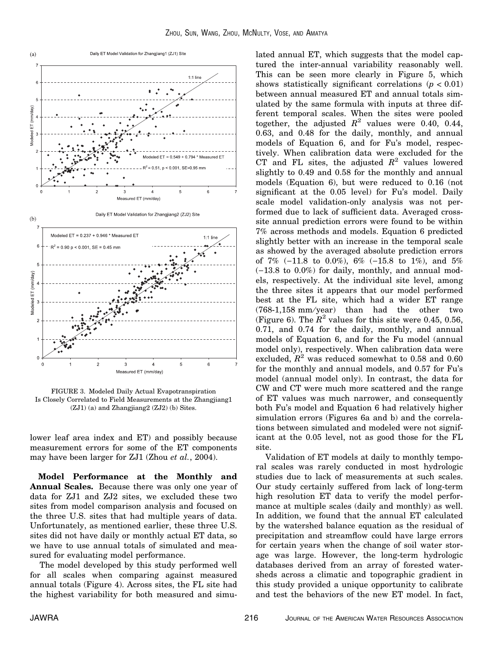

FIGURE 3. Modeled Daily Actual Evapotranspiration Is Closely Correlated to Field Measurements at the Zhangjiang1  $(ZJ1)$  (a) and Zhangjiang2 (ZJ2) (b) Sites.

lower leaf area index and ET) and possibly because measurement errors for some of the ET components may have been larger for ZJ1 (Zhou et al., 2004).

Model Performance at the Monthly and Annual Scales. Because there was only one year of data for ZJ1 and ZJ2 sites, we excluded these two sites from model comparison analysis and focused on the three U.S. sites that had multiple years of data. Unfortunately, as mentioned earlier, these three U.S. sites did not have daily or monthly actual ET data, so we have to use annual totals of simulated and measured for evaluating model performance.

The model developed by this study performed well for all scales when comparing against measured annual totals (Figure 4). Across sites, the FL site had the highest variability for both measured and simulated annual ET, which suggests that the model captured the inter-annual variability reasonably well. This can be seen more clearly in Figure 5, which shows statistically significant correlations ( $p < 0.01$ ) between annual measured ET and annual totals simulated by the same formula with inputs at three different temporal scales. When the sites were pooled together, the adjusted  $R^2$  values were 0.40, 0.44, 0.63, and 0.48 for the daily, monthly, and annual models of Equation 6, and for Fu's model, respectively. When calibration data were excluded for the CT and FL sites, the adjusted  $R^2$  values lowered slightly to 0.49 and 0.58 for the monthly and annual models (Equation 6), but were reduced to 0.16 (not significant at the 0.05 level) for Fu's model. Daily scale model validation-only analysis was not performed due to lack of sufficient data. Averaged crosssite annual prediction errors were found to be within 7% across methods and models. Equation 6 predicted slightly better with an increase in the temporal scale as showed by the averaged absolute prediction errors of 7% (-11.8 to 0.0%), 6% (-15.8 to 1%), and 5%  $(-13.8 \text{ to } 0.0\%)$  for daily, monthly, and annual models, respectively. At the individual site level, among the three sites it appears that our model performed best at the FL site, which had a wider ET range  $(768-1,158$  mm/year) than had the other two (Figure 6). The  $R^2$  values for this site were 0.45, 0.56, 0.71, and 0.74 for the daily, monthly, and annual models of Equation 6, and for the Fu model (annual model only), respectively. When calibration data were excluded,  $R^2$  was reduced somewhat to 0.58 and 0.60 for the monthly and annual models, and 0.57 for Fu's model (annual model only). In contrast, the data for CW and CT were much more scattered and the range of ET values was much narrower, and consequently both Fu's model and Equation 6 had relatively higher simulation errors (Figures 6a and b) and the correlations between simulated and modeled were not significant at the 0.05 level, not as good those for the FL site.

Validation of ET models at daily to monthly temporal scales was rarely conducted in most hydrologic studies due to lack of measurements at such scales. Our study certainly suffered from lack of long-term high resolution ET data to verify the model performance at multiple scales (daily and monthly) as well. In addition, we found that the annual ET calculated by the watershed balance equation as the residual of precipitation and streamflow could have large errors for certain years when the change of soil water storage was large. However, the long-term hydrologic databases derived from an array of forested watersheds across a climatic and topographic gradient in this study provided a unique opportunity to calibrate and test the behaviors of the new ET model. In fact,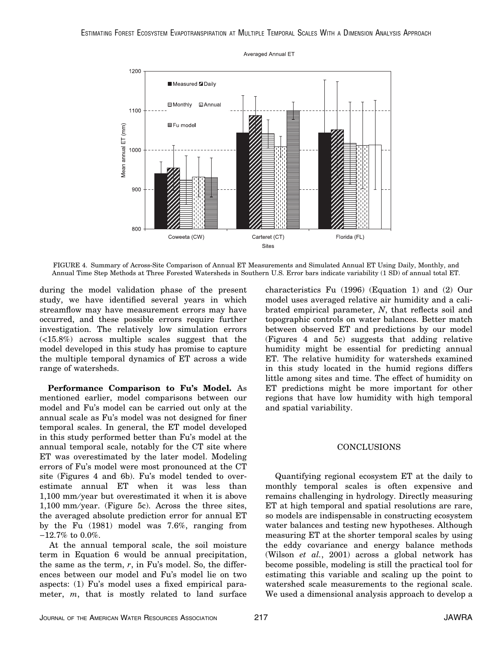

Averaged Annual ET

FIGURE 4. Summary of Across-Site Comparison of Annual ET Measurements and Simulated Annual ET Using Daily, Monthly, and Annual Time Step Methods at Three Forested Watersheds in Southern U.S. Error bars indicate variability (1 SD) of annual total ET.

during the model validation phase of the present study, we have identified several years in which streamflow may have measurement errors may have occurred, and these possible errors require further investigation. The relatively low simulation errors (<15.8%) across multiple scales suggest that the model developed in this study has promise to capture the multiple temporal dynamics of ET across a wide range of watersheds.

Performance Comparison to Fu's Model. As mentioned earlier, model comparisons between our model and Fu's model can be carried out only at the annual scale as Fu's model was not designed for finer temporal scales. In general, the ET model developed in this study performed better than Fu's model at the annual temporal scale, notably for the CT site where ET was overestimated by the later model. Modeling errors of Fu's model were most pronounced at the CT site (Figures 4 and 6b). Fu's model tended to overestimate annual ET when it was less than 1,100 mm ⁄ year but overestimated it when it is above 1,100 mm ⁄ year. (Figure 5c). Across the three sites, the averaged absolute prediction error for annual ET by the Fu (1981) model was 7.6%, ranging from  $-12.7\%$  to 0.0%.

At the annual temporal scale, the soil moisture term in Equation 6 would be annual precipitation, the same as the term,  $r$ , in Fu's model. So, the differences between our model and Fu's model lie on two aspects: (1) Fu's model uses a fixed empirical parameter,  $m$ , that is mostly related to land surface characteristics Fu (1996) (Equation 1) and (2) Our model uses averaged relative air humidity and a calibrated empirical parameter, N, that reflects soil and topographic controls on water balances. Better match between observed ET and predictions by our model (Figures 4 and 5c) suggests that adding relative humidity might be essential for predicting annual ET. The relative humidity for watersheds examined in this study located in the humid regions differs little among sites and time. The effect of humidity on ET predictions might be more important for other regions that have low humidity with high temporal and spatial variability.

### **CONCLUSIONS**

Quantifying regional ecosystem ET at the daily to monthly temporal scales is often expensive and remains challenging in hydrology. Directly measuring ET at high temporal and spatial resolutions are rare, so models are indispensable in constructing ecosystem water balances and testing new hypotheses. Although measuring ET at the shorter temporal scales by using the eddy covariance and energy balance methods (Wilson et al., 2001) across a global network has become possible, modeling is still the practical tool for estimating this variable and scaling up the point to watershed scale measurements to the regional scale. We used a dimensional analysis approach to develop a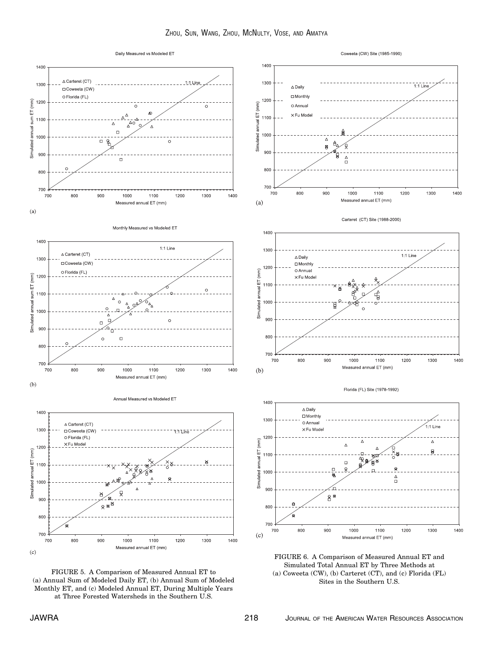

FIGURE 5. A Comparison of Measured Annual ET to (a) Annual Sum of Modeled Daily ET, (b) Annual Sum of Modeled Monthly ET, and (c) Modeled Annual ET, During Multiple Years at Three Forested Watersheds in the Southern U.S.

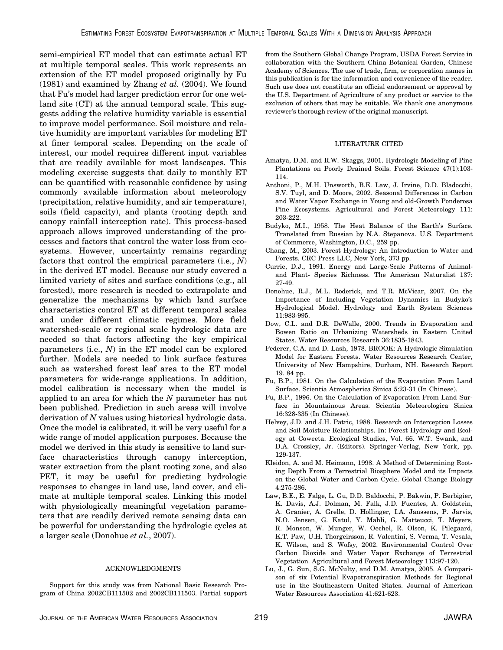semi-empirical ET model that can estimate actual ET at multiple temporal scales. This work represents an extension of the ET model proposed originally by Fu  $(1981)$  and examined by Zhang *et al.*  $(2004)$ . We found that Fu's model had larger prediction error for one wetland site (CT) at the annual temporal scale. This suggests adding the relative humidity variable is essential to improve model performance. Soil moisture and relative humidity are important variables for modeling ET at finer temporal scales. Depending on the scale of interest, our model requires different input variables that are readily available for most landscapes. This modeling exercise suggests that daily to monthly ET can be quantified with reasonable confidence by using commonly available information about meteorology (precipitation, relative humidity, and air temperature), soils (field capacity), and plants (rooting depth and canopy rainfall interception rate). This process-based approach allows improved understanding of the processes and factors that control the water loss from ecosystems. However, uncertainty remains regarding factors that control the empirical parameters  $(i.e., N)$ in the derived ET model. Because our study covered a limited variety of sites and surface conditions (e.g., all forested), more research is needed to extrapolate and generalize the mechanisms by which land surface characteristics control ET at different temporal scales and under different climatic regimes. More field watershed-scale or regional scale hydrologic data are needed so that factors affecting the key empirical parameters  $(i.e., N)$  in the ET model can be explored further. Models are needed to link surface features such as watershed forest leaf area to the ET model parameters for wide-range applications. In addition, model calibration is necessary when the model is applied to an area for which the  $N$  parameter has not been published. Prediction in such areas will involve derivation of N values using historical hydrologic data. Once the model is calibrated, it will be very useful for a wide range of model application purposes. Because the model we derived in this study is sensitive to land surface characteristics through canopy interception, water extraction from the plant rooting zone, and also PET, it may be useful for predicting hydrologic responses to changes in land use, land cover, and climate at multiple temporal scales. Linking this model with physiologically meaningful vegetation parameters that are readily derived remote sensing data can be powerful for understanding the hydrologic cycles at a larger scale (Donohue et al., 2007).

#### ACKNOWLEDGMENTS

Support for this study was from National Basic Research Program of China 2002CB111502 and 2002CB111503. Partial support from the Southern Global Change Program, USDA Forest Service in collaboration with the Southern China Botanical Garden, Chinese Academy of Sciences. The use of trade, firm, or corporation names in this publication is for the information and convenience of the reader. Such use does not constitute an official endorsement or approval by the U.S. Department of Agriculture of any product or service to the exclusion of others that may be suitable. We thank one anonymous reviewer's thorough review of the original manuscript.

#### LITERATURE CITED

- Amatya, D.M. and R.W. Skaggs, 2001. Hydrologic Modeling of Pine Plantations on Poorly Drained Soils. Forest Science 47(1):103- 114.
- Anthoni, P., M.H. Unsworth, B.E. Law, J. Irvine, D.D. Bladocchi, S.V. Tuyl, and D. Moore, 2002. Seasonal Differences in Carbon and Water Vapor Exchange in Young and old-Growth Ponderosa Pine Ecosystems. Agricultural and Forest Meteorology 111: 203-222.
- Budyko, M.I., 1958. The Heat Balance of the Earth's Surface. Translated from Russian by N.A. Stepanova. U.S. Department of Commerce, Washington, D.C., 259 pp.
- Chang, M., 2003. Forest Hydrology: An Introduction to Water and Forests. CRC Press LLC, New York, 373 pp.
- Currie, D.J., 1991. Energy and Large-Scale Patterns of Animaland Plant- Species Richness. The American Naturalist 137: 27-49.
- Donohue, R.J., M.L. Roderick, and T.R. McVicar, 2007. On the Importance of Including Vegetation Dynamics in Budyko's Hydrological Model. Hydrology and Earth System Sciences 11:983-995.
- Dow, C.L. and D.R. DeWalle, 2000. Trends in Evaporation and Bowen Ratio on Urbanizing Watersheds in Eastern United States. Water Resources Research 36:1835-1843.
- Federer, C.A. and D. Lash, 1978. BROOK: A Hydrologic Simulation Model for Eastern Forests. Water Resources Research Center, University of New Hampshire, Durham, NH. Research Report 19. 84 pp.
- Fu, B.P., 1981. On the Calculation of the Evaporation From Land Surface. Scientia Atmospherica Sinica 5:23-31 (In Chinese).
- Fu, B.P., 1996. On the Calculation of Evaporation From Land Surface in Mountainous Areas. Scientia Meteorologica Sinica 16:328-335 (In Chinese).
- Helvey, J.D. and J.H. Patric, 1988. Research on Interception Losses and Soil Moisture Relationships. In: Forest Hydrology and Ecology at Coweeta. Ecological Studies, Vol. 66. W.T. Swank, and D.A. Crossley, Jr. (Editors). Springer-Verlag, New York, pp. 129-137.
- Kleidon, A. and M. Heimann, 1998. A Method of Determining Rooting Depth From a Terrestrial Biosphere Model and its Impacts on the Global Water and Carbon Cycle. Global Change Biology 4:275-286.
- Law, B.E., E. Falge, L. Gu, D.D. Baldocchi, P. Bakwin, P. Berbigier, K. Davis, A.J. Dolman, M. Falk, J.D. Fuentes, A. Goldstein, A. Granier, A. Grelle, D. Hollinger, I.A. Janssens, P. Jarvis, N.O. Jensen, G. Katul, Y. Mahli, G. Matteucci, T. Meyers, R. Monson, W. Munger, W. Oechel, R. Olson, K. Pilegaard, K.T. Paw, U.H. Thorgeirsson, R. Valentini, S. Verma, T. Vesala, K. Wilson, and S. Wofsy, 2002. Environmental Control Over Carbon Dioxide and Water Vapor Exchange of Terrestrial Vegetation. Agricultural and Forest Meteorology 113:97-120.
- Lu, J., G. Sun, S.G. McNulty, and D.M. Amatya, 2005. A Comparison of six Potential Evapotranspiration Methods for Regional use in the Southeastern United States. Journal of American Water Resources Association 41:621-623.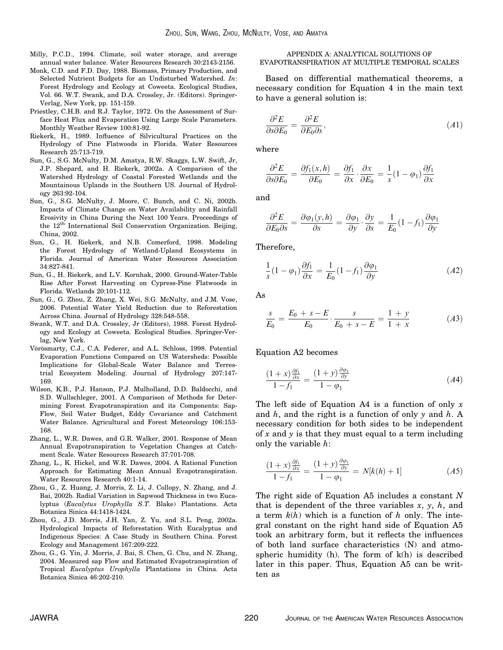- Milly, P.C.D., 1994. Climate, soil water storage, and average annual water balance. Water Resources Research 30:2143-2156.
- Monk, C.D. and F.D. Day, 1988. Biomass, Primary Production, and Selected Nutrient Budgets for an Undisturbed Watershed. In: Forest Hydrology and Ecology at Coweeta. Ecological Studies, Vol. 66. W.T. Swank, and D.A. Crossley, Jr. (Editors). Springer-Verlag, New York, pp. 151-159.
- Priestley, C.H.B. and R.J. Taylor, 1972. On the Assessment of Surface Heat Flux and Evaporation Using Large Scale Parameters. Monthly Weather Review 100:81-92.
- Riekerk, H., 1989. Influence of Silvicultural Practices on the Hydrology of Pine Flatwoods in Florida. Water Resources Research 25:713-719.
- Sun, G., S.G. McNulty, D.M. Amatya, R.W. Skaggs, L.W. Swift, Jr, J.P. Shepard, and H. Riekerk, 2002a. A Comparison of the Watershed Hydrology of Coastal Forested Wetlands and the Mountainous Uplands in the Southern US. Journal of Hydrology 263:92-104.
- Sun, G., S.G. McNulty, J. Moore, C. Bunch, and C. Ni, 2002b. Impacts of Climate Change on Water Availability and Rainfall Erosivity in China During the Next 100 Years. Proceedings of the 12<sup>th</sup> International Soil Conservation Organization. Beijing, China, 2002.
- Sun, G., H. Riekerk, and N.B. Comerford, 1998. Modeling the Forest Hydrology of Wetland-Upland Ecosystems in Florida. Journal of American Water Resources Association 34:827-841.
- Sun, G., H. Riekerk, and L.V. Kornhak, 2000. Ground-Water-Table Rise After Forest Harvesting on Cypress-Pine Flatwoods in Florida. Wetlands 20:101-112.
- Sun, G., G. Zhou, Z. Zhang, X. Wei, S.G. McNulty, and J.M. Vose, 2006. Potential Water Yield Reduction due to Reforestation Across China. Journal of Hydrology 328:548-558.
- Swank, W.T. and D.A. Crossley, Jr (Editors), 1988. Forest Hydrology and Ecology at Coweeta. Ecological Studies. Springer-Verlag, New York.
- Vörösmarty, C.J., C.A. Federer, and A.L. Schloss, 1998. Potential Evaporation Functions Compared on US Watersheds: Possible Implications for Global-Scale Water Balance and Terrestrial Ecosystem Modeling. Journal of Hydrology 207:147- 169.
- Wilson, K.B., P.J. Hanson, P.J. Mulholland, D.D. Baldocchi, and S.D. Wullschleger, 2001. A Comparison of Methods for Determining Forest Evapotranspiration and its Components: Sap-Flow, Soil Water Budget, Eddy Covariance and Catchment Water Balance. Agricultural and Forest Meteorology 106:153- 168.
- Zhang, L., W.R. Dawes, and G.R. Walker, 2001. Response of Mean Annual Evapotranspiration to Vegetation Changes at Catchment Scale. Water Resources Research 37:701-708.
- Zhang, L., K. Hickel, and W.R. Dawes, 2004. A Rational Function Approach for Estimating Mean Annual Evapotranspiration. Water Resources Research 40:1-14.
- Zhou, G., Z. Huang, J. Morris, Z. Li, J. Collopy, N. Zhang, and J. Bai, 2002b. Radial Variation in Sapwood Thickness in two Eucalyptus (Eucalytus Urophylla S.T. Blake) Plantations. Acta Botanica Sinica 44:1418-1424.
- Zhou, G., J.D. Morris, J.H. Yan, Z. Yu, and S.L. Peng, 2002a. Hydrological Impacts of Reforestation With Eucalyptus and Indigenous Species: A Case Study in Southern China. Forest Ecology and Management 167:209-222.
- Zhou, G., G. Yin, J. Morris, J. Bai, S. Chen, G. Chu, and N. Zhang, 2004. Measured sap Flow and Estimated Evapotranspiration of Tropical Eucalyptus Urophylla Plantations in China. Acta Botanica Sinica 46:202-210.

#### APPENDIX A: ANALYTICAL SOLUTIONS OF EVAPOTRANSPIRATION AT MULTIPLE TEMPORAL SCALES

Based on differential mathematical theorems, a necessary condition for Equation 4 in the main text to have a general solution is:

$$
\frac{\partial^2 E}{\partial s \partial E_0} = \frac{\partial^2 E}{\partial E_0 \partial s},\tag{A1}
$$

where

$$
\frac{\partial^2 E}{\partial s \partial E_0} = \frac{\partial f_1(x, h)}{\partial E_0} = \frac{\partial f_1}{\partial x} \cdot \frac{\partial x}{\partial E_0} = \frac{1}{s} (1 - \varphi_1) \frac{\partial f_1}{\partial x}
$$

and

$$
\frac{\partial^2 E}{\partial E_0 \partial s} = \frac{\partial \varphi_1(y, h)}{\partial s} = \frac{\partial \varphi_1}{\partial y} \cdot \frac{\partial y}{\partial s} = \frac{1}{E_0} (1 - f_1) \frac{\partial \varphi_1}{\partial y}
$$

Therefore,

$$
\frac{1}{s}(1-\varphi_1)\frac{\partial f_1}{\partial x} = \frac{1}{E_0}(1-f_1)\frac{\partial \varphi_1}{\partial y}
$$
 (A2)

As

$$
\frac{s}{E_0} = \frac{E_0 + s - E}{E_0} \cdot \frac{s}{E_0 + s - E} = \frac{1 + y}{1 + x} \tag{A3}
$$

Equation A2 becomes

$$
\frac{(1+x)\frac{\partial f_1}{\partial x}}{1-f_1} = \frac{(1+y)\frac{\partial \varphi_1}{\partial y}}{1-\varphi_1}
$$
(A4)

The left side of Equation A4 is a function of only  $x$ and h, and the right is a function of only  $\gamma$  and h. A necessary condition for both sides to be independent of x and y is that they must equal to a term including only the variable h:

$$
\frac{(1+x)\frac{\partial f_1}{\partial x}}{1-f_1} = \frac{(1+y)\frac{\partial \varphi_1}{\partial y}}{1-\varphi_1} = N[k(h)+1]
$$
\n
$$
(A5)
$$

The right side of Equation  $A5$  includes a constant N that is dependent of the three variables  $x, y, h$ , and a term  $k(h)$  which is a function of h only. The integral constant on the right hand side of Equation A5 took an arbitrary form, but it reflects the influences of both land surface characteristics (N) and atmospheric humidity  $(h)$ . The form of  $k(h)$  is described later in this paper. Thus, Equation A5 can be written as